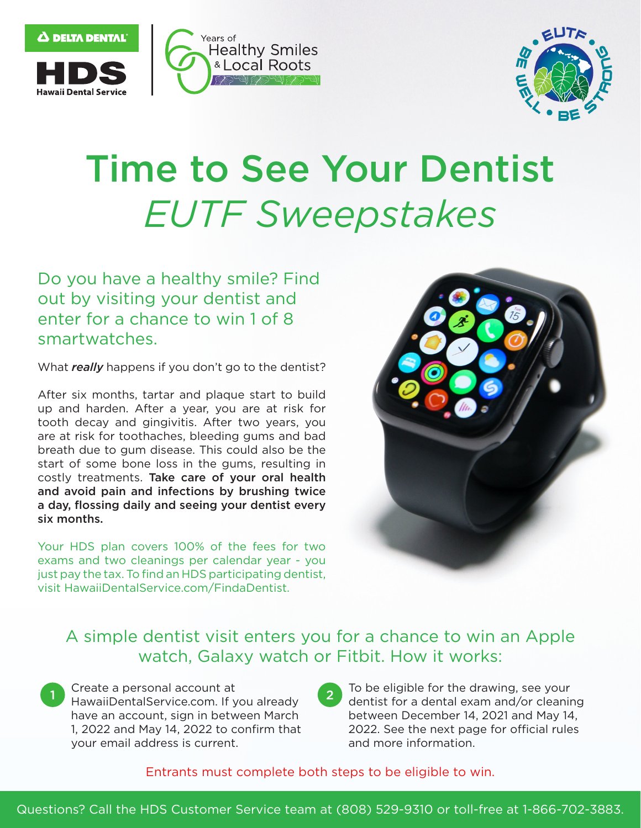



## Time to See Your Dentist *EUTF Sweepstakes*

Do you have a healthy smile? Find out by visiting your dentist and enter for a chance to win 1 of 8 smartwatches.

What *really* happens if you don't go to the dentist?

After six months, tartar and plaque start to build up and harden. After a year, you are at risk for tooth decay and gingivitis. After two years, you are at risk for toothaches, bleeding gums and bad breath due to gum disease. This could also be the start of some bone loss in the gums, resulting in costly treatments. Take care of your oral health and avoid pain and infections by brushing twice a day, flossing daily and seeing your dentist every six months.

Your HDS plan covers 100% of the fees for two exams and two cleanings per calendar year - you just pay the tax. To find an HDS participating dentist, visit [HawaiiDentalService.com/FindaDentist](https://HawaiiDentalService.com/FindaDentist).



## A simple dentist visit enters you for a chance to win an Apple watch, Galaxy watch or Fitbit. How it works:

1 Cre<br>
Ha<br>
ha<br>
1, 2 11 Create a personal account at 2 To be eligible for the drawing, see your<br>HawaiiDentalService.com. If you already your email address is current. The same and more information.

• dentist for a dental exam and/or cleaning have an account, sign in between March between December 14, 2021 and May 14, 1, 2022 and May 14, 2022 to confirm that 2022. See the next page for official rules

Entrants must complete both steps to be eligible to win.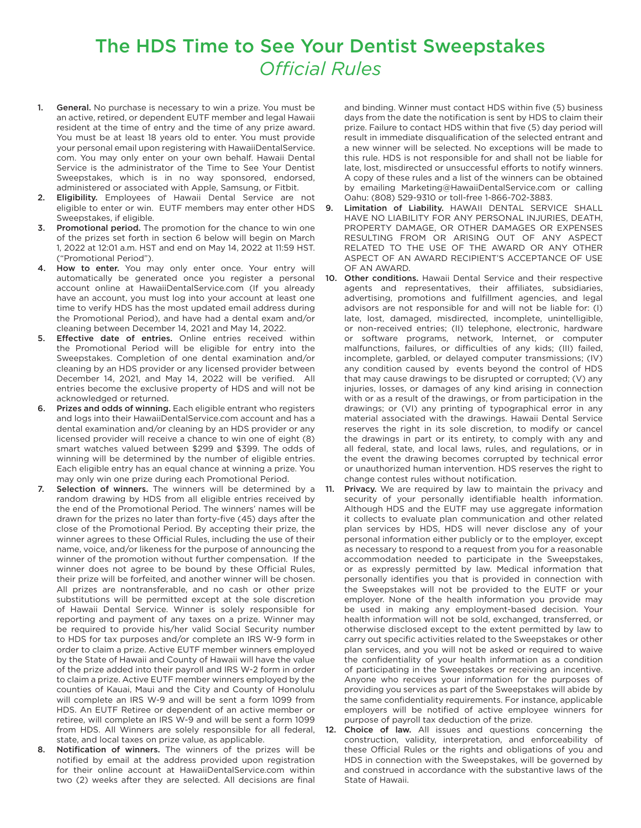## The HDS Time to See Your Dentist Sweepstakes **Official Rules**

- 1. General. No purchase is necessary to win a prize. You must be an active, retired, or dependent EUTF member and legal Hawaii resident at the time of entry and the time of any prize award. You must be at least 18 years old to enter. You must provide your personal email upon registering with HawaiiDentalService. com. You may only enter on your own behalf. Hawaii Dental Service is the administrator of the Time to See Your Dentist Sweepstakes, which is in no way sponsored, endorsed, administered or associated with Apple, Samsung, or Fitbit.
- 2. Eligibility. Employees of Hawaii Dental Service are not eligible to enter or win. EUTF members may enter other HDS Sweepstakes, if eligible.
- 3. Promotional period. The promotion for the chance to win one of the prizes set forth in section 6 below will begin on March 1, 2022 at 12:01 a.m. HST and end on May 14, 2022 at 11:59 HST. ("Promotional Period").
- How to enter. You may only enter once. Your entry will automatically be generated once you register a personal account online at [HawaiiDentalService.com](https://HawaiiDentalService.com) (If you already have an account, you must log into your account at least one time to verify HDS has the most updated email address during the Promotional Period), and have had a dental exam and/or cleaning between December 14, 2021 and May 14, 2022.
- 5. Efective date of entries. Online entries received within the Promotional Period will be eligible for entry into the Sweepstakes. Completion of one dental examination and/or cleaning by an HDS provider or any licensed provider between December 14, 2021, and May 14, 2022 will be verifed. All entries become the exclusive property of HDS and will not be acknowledged or returned.
- 6. Prizes and odds of winning. Each eligible entrant who registers and logs into their [HawaiiDentalService.com](https://HawaiiDentalService.com) account and has a dental examination and/or cleaning by an HDS provider or any licensed provider will receive a chance to win one of eight (8) smart watches valued between \$299 and \$399. The odds of winning will be determined by the number of eligible entries. Each eligible entry has an equal chance at winning a prize. You may only win one prize during each Promotional Period.
- Selection of winners. The winners will be determined by a random drawing by HDS from all eligible entries received by the end of the Promotional Period. The winners' names will be drawn for the prizes no later than forty-five (45) days after the close of the Promotional Period. By accepting their prize, the winner agrees to these Official Rules, including the use of their name, voice, and/or likeness for the purpose of announcing the winner of the promotion without further compensation. If the winner does not agree to be bound by these Official Rules, their prize will be forfeited, and another winner will be chosen. All prizes are nontransferable, and no cash or other prize substitutions will be permitted except at the sole discretion of Hawaii Dental Service. Winner is solely responsible for reporting and payment of any taxes on a prize. Winner may be required to provide his/her valid Social Security number to HDS for tax purposes and/or complete an IRS W-9 form in order to claim a prize. Active EUTF member winners employed by the State of Hawaii and County of Hawaii will have the value of the prize added into their payroll and IRS W-2 form in order to claim a prize. Active EUTF member winners employed by the counties of Kauai, Maui and the City and County of Honolulu will complete an IRS W-9 and will be sent a form 1099 from HDS. An EUTF Retiree or dependent of an active member or retiree, will complete an IRS W-9 and will be sent a form 1099 from HDS. All Winners are solely responsible for all federal, state, and local taxes on prize value, as applicable.
- 8. Notification of winners. The winners of the prizes will be notifed by email at the address provided upon registration for their online account at [HawaiiDentalService.com](https://HawaiiDentalService.com) within two (2) weeks after they are selected. All decisions are final

and binding. Winner must contact HDS within five (5) business days from the date the notification is sent by HDS to claim their prize. Failure to contact HDS within that five (5) day period will result in immediate disqualification of the selected entrant and a new winner will be selected. No exceptions will be made to this rule. HDS is not responsible for and shall not be liable for late, lost, misdirected or unsuccessful efforts to notify winners. A copy of these rules and a list of the winners can be obtained by emailing [Marketing@HawaiiDentalService.com](mailto:Marketing@HawaiiDentalService.com) or calling Oahu: (808) 529-9310 or toll-free 1-866-702-3883.

- 9. Limitation of Liability. HAWAII DENTAL SERVICE SHALL HAVE NO LIABILITY FOR ANY PERSONAL INJURIES, DEATH, PROPERTY DAMAGE, OR OTHER DAMAGES OR EXPENSES RESULTING FROM OR ARISING OUT OF ANY ASPECT RELATED TO THE USE OF THE AWARD OR ANY OTHER ASPECT OF AN AWARD RECIPIENT'S ACCEPTANCE OF USE OF AN AWARD.
- 10. Other conditions. Hawaii Dental Service and their respective agents and representatives, their affiliates, subsidiaries, advertising, promotions and fulfllment agencies, and legal advisors are not responsible for and will not be liable for: (I) late, lost, damaged, misdirected, incomplete, unintelligible, or non-received entries; (II) telephone, electronic, hardware or software programs, network, Internet, or computer malfunctions, failures, or difficulties of any kids; (III) failed, incomplete, garbled, or delayed computer transmissions; (IV) any condition caused by events beyond the control of HDS that may cause drawings to be disrupted or corrupted; (V) any injuries, losses, or damages of any kind arising in connection with or as a result of the drawings, or from participation in the drawings; or (VI) any printing of typographical error in any material associated with the drawings. Hawaii Dental Service reserves the right in its sole discretion, to modify or cancel the drawings in part or its entirety, to comply with any and all federal, state, and local laws, rules, and regulations, or in the event the drawing becomes corrupted by technical error or unauthorized human intervention. HDS reserves the right to change contest rules without notification.
- Privacy. We are required by law to maintain the privacy and security of your personally identifable health information. Although HDS and the EUTF may use aggregate information it collects to evaluate plan communication and other related plan services by HDS, HDS will never disclose any of your personal information either publicly or to the employer, except as necessary to respond to a request from you for a reasonable accommodation needed to participate in the Sweepstakes, or as expressly permitted by law. Medical information that personally identifes you that is provided in connection with the Sweepstakes will not be provided to the EUTF or your employer. None of the health information you provide may be used in making any employment-based decision. Your health information will not be sold, exchanged, transferred, or otherwise disclosed except to the extent permitted by law to carry out specific activities related to the Sweepstakes or other plan services, and you will not be asked or required to waive the confdentiality of your health information as a condition of participating in the Sweepstakes or receiving an incentive. Anyone who receives your information for the purposes of providing you services as part of the Sweepstakes will abide by the same confidentiality requirements. For instance, applicable employers will be notifed of active employee winners for purpose of payroll tax deduction of the prize.
- 12. Choice of law. All issues and questions concerning the construction, validity, interpretation, and enforceability of these Official Rules or the rights and obligations of you and HDS in connection with the Sweepstakes, will be governed by and construed in accordance with the substantive laws of the State of Hawaii.